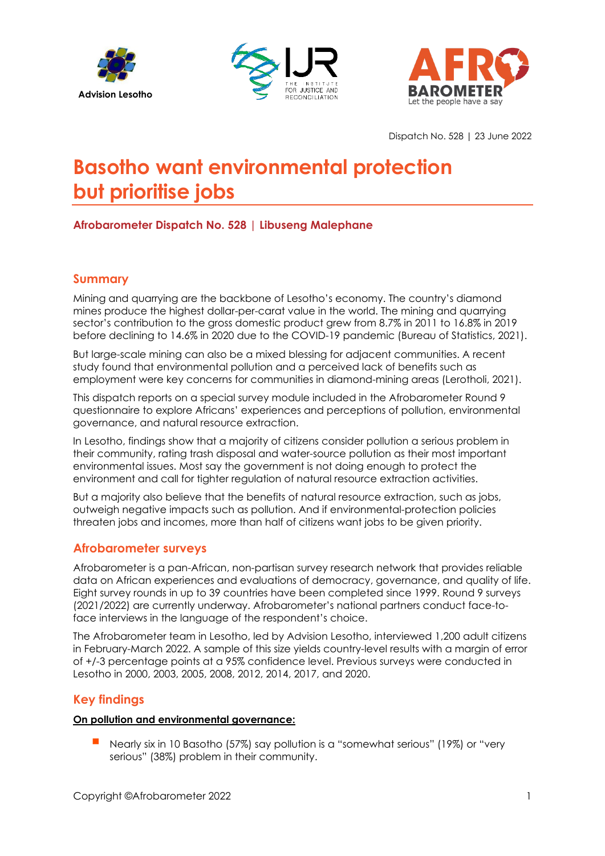





Dispatch No. 528 | 23 June 2022

# **Basotho want environmental protection but prioritise jobs**

# **Afrobarometer Dispatch No. 528 | Libuseng Malephane**

# **Summary**

Mining and quarrying are the backbone of Lesotho's economy. The country's diamond mines produce the highest dollar-per-carat value in the world. The mining and quarrying sector's contribution to the gross domestic product grew from 8.7% in 2011 to 16.8% in 2019 before declining to 14.6% in 2020 due to the COVID-19 pandemic (Bureau of Statistics, 2021).

But large-scale mining can also be a mixed blessing for adjacent communities. A recent study found that environmental pollution and a perceived lack of benefits such as employment were key concerns for communities in diamond-mining areas (Lerotholi, 2021).

This dispatch reports on a special survey module included in the Afrobarometer Round 9 questionnaire to explore Africans' experiences and perceptions of pollution, environmental governance, and natural resource extraction.

In Lesotho, findings show that a majority of citizens consider pollution a serious problem in their community, rating trash disposal and water-source pollution as their most important environmental issues. Most say the government is not doing enough to protect the environment and call for tighter regulation of natural resource extraction activities.

But a majority also believe that the benefits of natural resource extraction, such as jobs, outweigh negative impacts such as pollution. And if environmental-protection policies threaten jobs and incomes, more than half of citizens want jobs to be given priority.

## **Afrobarometer surveys**

Afrobarometer is a pan-African, non-partisan survey research network that provides reliable data on African experiences and evaluations of democracy, governance, and quality of life. Eight survey rounds in up to 39 countries have been completed since 1999. Round 9 surveys (2021/2022) are currently underway. Afrobarometer's national partners conduct face-toface interviews in the language of the respondent's choice.

The Afrobarometer team in Lesotho, led by Advision Lesotho, interviewed 1,200 adult citizens in February-March 2022. A sample of this size yields country-level results with a margin of error of +/-3 percentage points at a 95% confidence level. Previous surveys were conducted in Lesotho in 2000, 2003, 2005, 2008, 2012, 2014, 2017, and 2020.

# **Key findings**

## **On pollution and environmental governance:**

 Nearly six in 10 Basotho (57%) say pollution is a "somewhat serious" (19%) or "very serious" (38%) problem in their community.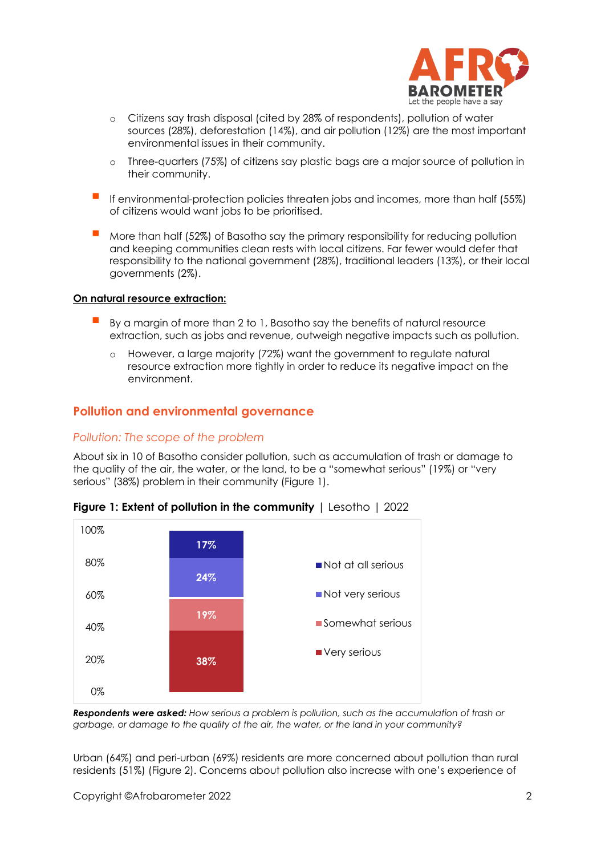

- o Citizens say trash disposal (cited by 28% of respondents), pollution of water sources (28%), deforestation (14%), and air pollution (12%) are the most important environmental issues in their community.
- o Three-quarters (75%) of citizens say plastic bags are a major source of pollution in their community.
- If environmental-protection policies threaten jobs and incomes, more than half (55%) of citizens would want jobs to be prioritised.
- More than half (52%) of Basotho say the primary responsibility for reducing pollution and keeping communities clean rests with local citizens. Far fewer would defer that responsibility to the national government (28%), traditional leaders (13%), or their local governments (2%).

#### **On natural resource extraction:**

- By a margin of more than 2 to 1, Basotho say the benefits of natural resource extraction, such as jobs and revenue, outweigh negative impacts such as pollution.
	- o However, a large majority (72%) want the government to regulate natural resource extraction more tightly in order to reduce its negative impact on the environment.

#### **Pollution and environmental governance**

#### *Pollution: The scope of the problem*

About six in 10 of Basotho consider pollution, such as accumulation of trash or damage to the quality of the air, the water, or the land, to be a "somewhat serious" (19%) or "very serious" (38%) problem in their community (Figure 1).



**Figure 1: Extent of pollution in the community** | Lesotho | 2022

*Respondents were asked: How serious a problem is pollution, such as the accumulation of trash or garbage, or damage to the quality of the air, the water, or the land in your community?* 

Urban (64%) and peri-urban (69%) residents are more concerned about pollution than rural residents (51%) (Figure 2). Concerns about pollution also increase with one's experience of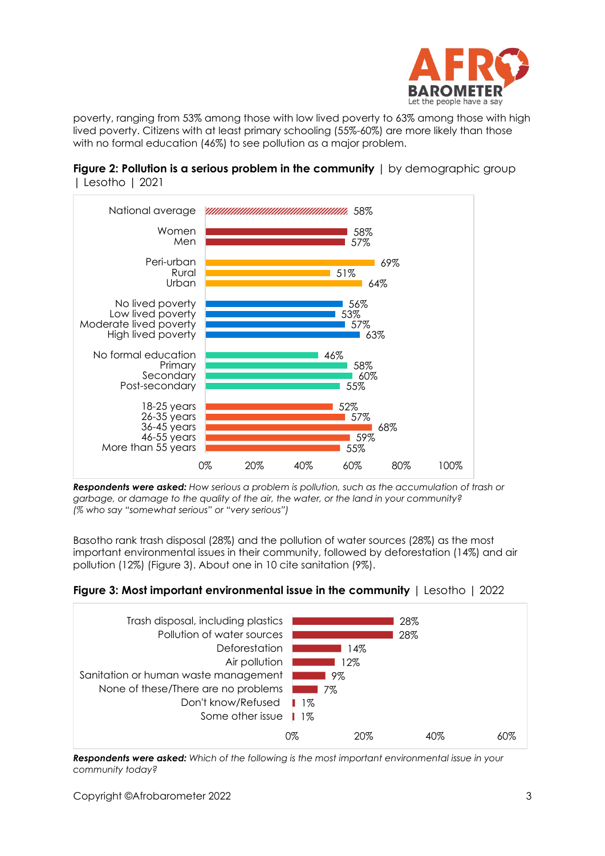

poverty, ranging from 53% among those with low lived poverty to 63% among those with high lived poverty. Citizens with at least primary schooling (55%-60%) are more likely than those with no formal education (46%) to see pollution as a major problem.

**Figure 2: Pollution is a serious problem in the community** I by demographic group | Lesotho | 2021



*Respondents were asked: How serious a problem is pollution, such as the accumulation of trash or garbage, or damage to the quality of the air, the water, or the land in your community? (% who say "somewhat serious" or "very serious")*

Basotho rank trash disposal (28%) and the pollution of water sources (28%) as the most important environmental issues in their community, followed by deforestation (14%) and air pollution (12%) (Figure 3). About one in 10 cite sanitation (9%).





*Respondents were asked: Which of the following is the most important environmental issue in your community today?*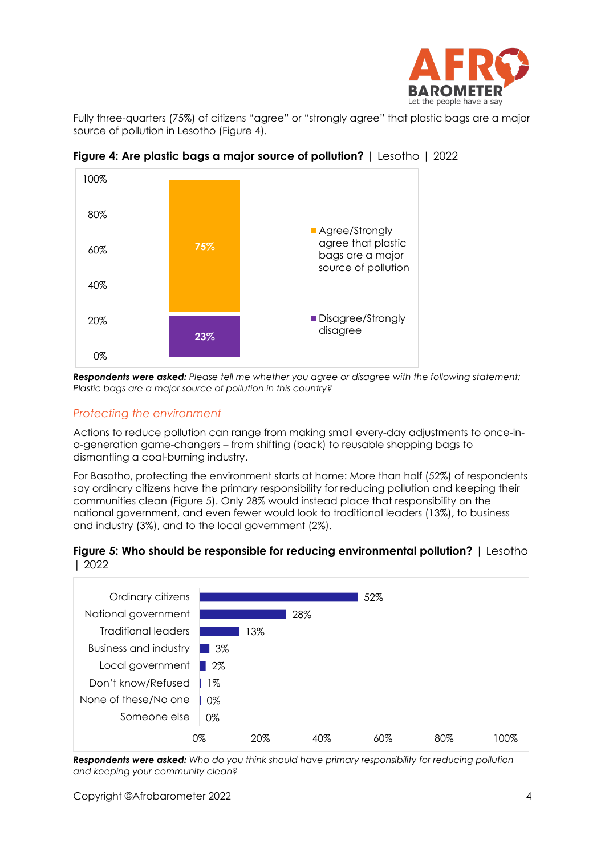

Fully three-quarters (75%) of citizens "agree" or "strongly agree" that plastic bags are a major source of pollution in Lesotho (Figure 4).



**Figure 4: Are plastic bags a major source of pollution?** | Lesotho | 2022

*Respondents were asked: Please tell me whether you agree or disagree with the following statement: Plastic bags are a major source of pollution in this country?*

## *Protecting the environment*

Actions to reduce pollution can range from making small every-day adjustments to once-ina-generation game-changers – from shifting (back) to reusable shopping bags to dismantling a coal-burning industry.

For Basotho, protecting the environment starts at home: More than half (52%) of respondents say ordinary citizens have the primary responsibility for reducing pollution and keeping their communities clean (Figure 5). Only 28% would instead place that responsibility on the national government, and even fewer would look to traditional leaders (13%), to business and industry (3%), and to the local government (2%).

#### **Figure 5: Who should be responsible for reducing environmental pollution?** | Lesotho | 2022



*Respondents were asked: Who do you think should have primary responsibility for reducing pollution and keeping your community clean?*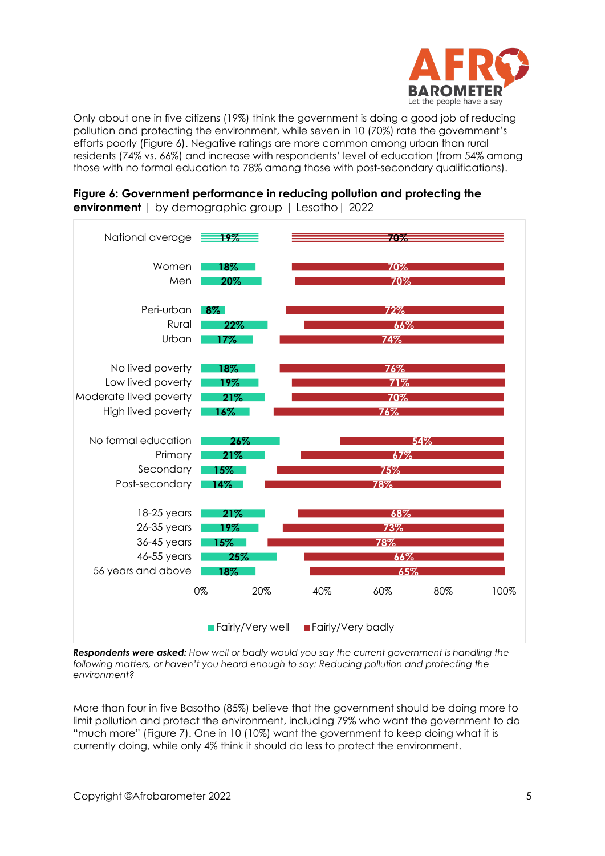

Only about one in five citizens (19%) think the government is doing a good job of reducing pollution and protecting the environment, while seven in 10 (70%) rate the government's efforts poorly (Figure 6). Negative ratings are more common among urban than rural residents (74% vs. 66%) and increase with respondents' level of education (from 54% among those with no formal education to 78% among those with post-secondary qualifications).



**Figure 6: Government performance in reducing pollution and protecting the environment** | by demographic group | Lesotho| 2022

*Respondents were asked: How well or badly would you say the current government is handling the following matters, or haven't you heard enough to say: Reducing pollution and protecting the environment?*

More than four in five Basotho (85%) believe that the government should be doing more to limit pollution and protect the environment, including 79% who want the government to do "much more" (Figure 7). One in 10 (10%) want the government to keep doing what it is currently doing, while only 4% think it should do less to protect the environment.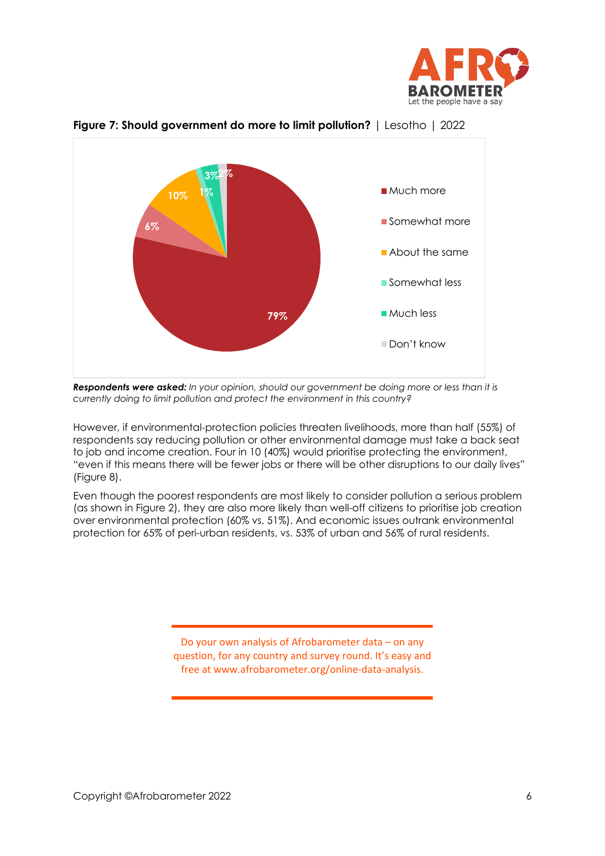



## **Figure 7: Should government do more to limit pollution?** | Lesotho | 2022

*Respondents were asked: In your opinion, should our government be doing more or less than it is currently doing to limit pollution and protect the environment in this country?* 

However, if environmental-protection policies threaten livelihoods, more than half (55%) of respondents say reducing pollution or other environmental damage must take a back seat to job and income creation. Four in 10 (40%) would prioritise protecting the environment, "even if this means there will be fewer jobs or there will be other disruptions to our daily lives" (Figure 8).

Even though the poorest respondents are most likely to consider pollution a serious problem (as shown in Figure 2), they are also more likely than well-off citizens to prioritise job creation over environmental protection (60% vs. 51%). And economic issues outrank environmental protection for 65% of peri-urban residents, vs. 53% of urban and 56% of rural residents.

> Do your own analysis of Afrobarometer data – on any question, for any country and survey round. It's easy and free at www.afrobarometer.org/online-data-analysis.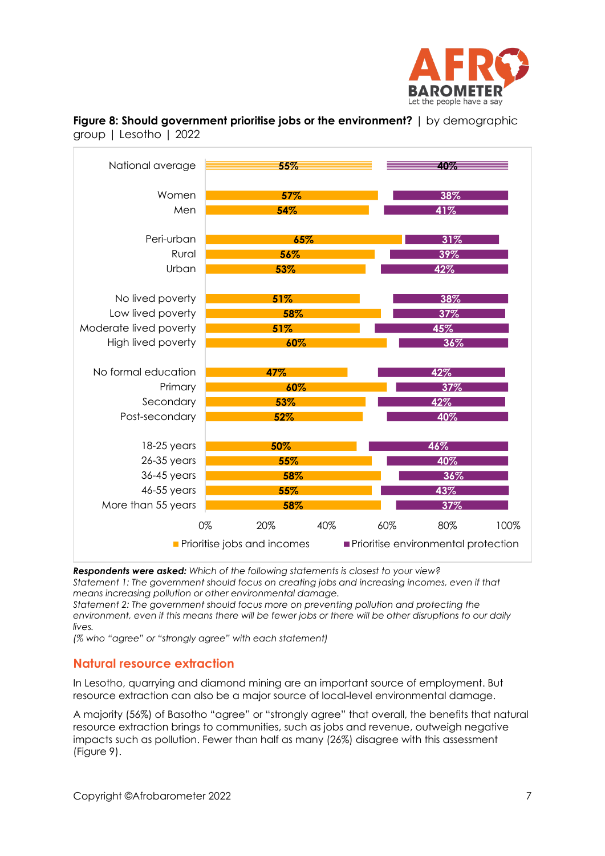

| National average       | 55%                                | 40%                                 |
|------------------------|------------------------------------|-------------------------------------|
| Women                  | 57%                                | 38%                                 |
| Men                    | 54%                                | 41%                                 |
|                        |                                    |                                     |
| Peri-urban             | 65%                                | 31%                                 |
| Rural                  | 56%                                | 39%                                 |
| Urban                  | 53%                                | 42%                                 |
|                        |                                    |                                     |
| No lived poverty       | 51%                                | 38%                                 |
| Low lived poverty      | 58%                                | 37%                                 |
| Moderate lived poverty | 51%                                | 45%                                 |
| High lived poverty     | 60%                                | 36%                                 |
|                        |                                    |                                     |
| No formal education    | 47%                                | 42%                                 |
| Primary                | 60%                                | 37%                                 |
| Secondary              | 53%                                | 42%                                 |
| Post-secondary         | 52%                                | 40%                                 |
|                        |                                    |                                     |
| $18-25$ years          | 50%                                | 46%                                 |
| 26-35 years            | 55%                                | 40%                                 |
| 36-45 years            | 58%                                | 36%                                 |
| 46-55 years            | 55%                                | 43%                                 |
| More than 55 years     | 58%                                | 37%                                 |
|                        | 0%<br>20%<br>40%                   | 60%<br>80%<br>100%                  |
|                        | <b>Prioritise jobs and incomes</b> | Prioritise environmental protection |

**Figure 8: Should government prioritise jobs or the environment?** | by demographic group | Lesotho | 2022

*Respondents were asked: Which of the following statements is closest to your view?* 

*Statement 1: The government should focus on creating jobs and increasing incomes, even if that means increasing pollution or other environmental damage.* 

*Statement 2: The government should focus more on preventing pollution and protecting the environment, even if this means there will be fewer jobs or there will be other disruptions to our daily lives.*

*(% who "agree" or "strongly agree" with each statement)*

## **Natural resource extraction**

In Lesotho, quarrying and diamond mining are an important source of employment. But resource extraction can also be a major source of local-level environmental damage.

A majority (56%) of Basotho "agree" or "strongly agree" that overall, the benefits that natural resource extraction brings to communities, such as jobs and revenue, outweigh negative impacts such as pollution. Fewer than half as many (26%) disagree with this assessment (Figure 9).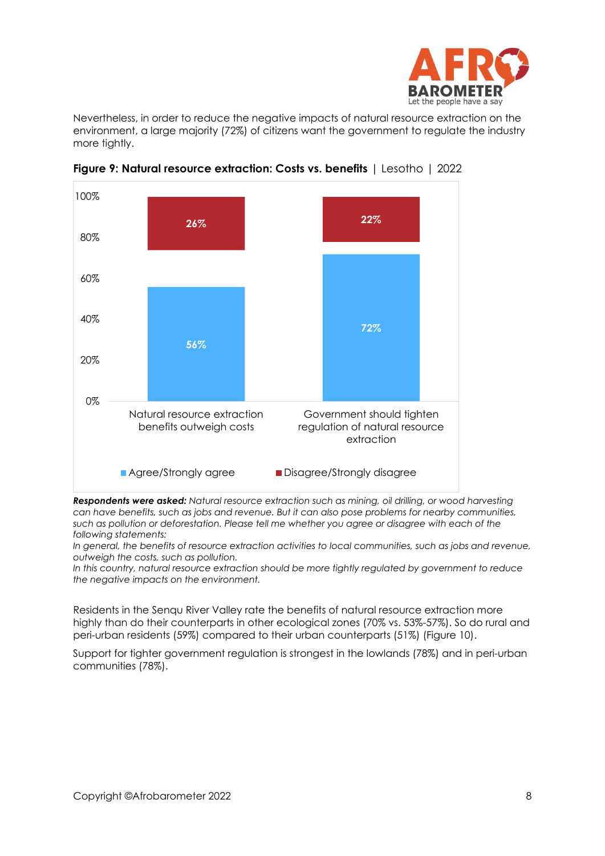

Nevertheless, in order to reduce the negative impacts of natural resource extraction on the environment, a large majority (72%) of citizens want the government to regulate the industry more tightly.



**Figure 9: Natural resource extraction: Costs vs. benefits** | Lesotho | 2022

*Respondents were asked: Natural resource extraction such as mining, oil drilling, or wood harvesting can have benefits, such as jobs and revenue. But it can also pose problems for nearby communities, such as pollution or deforestation. Please tell me whether you agree or disagree with each of the following statements:*

*In general, the benefits of resource extraction activities to local communities, such as jobs and revenue, outweigh the costs, such as pollution.*

*In this country, natural resource extraction should be more tightly regulated by government to reduce the negative impacts on the environment.*

Residents in the Senqu River Valley rate the benefits of natural resource extraction more highly than do their counterparts in other ecological zones (70% vs. 53%-57%). So do rural and peri-urban residents (59%) compared to their urban counterparts (51%) (Figure 10).

Support for tighter government regulation is strongest in the lowlands (78%) and in peri-urban communities (78%).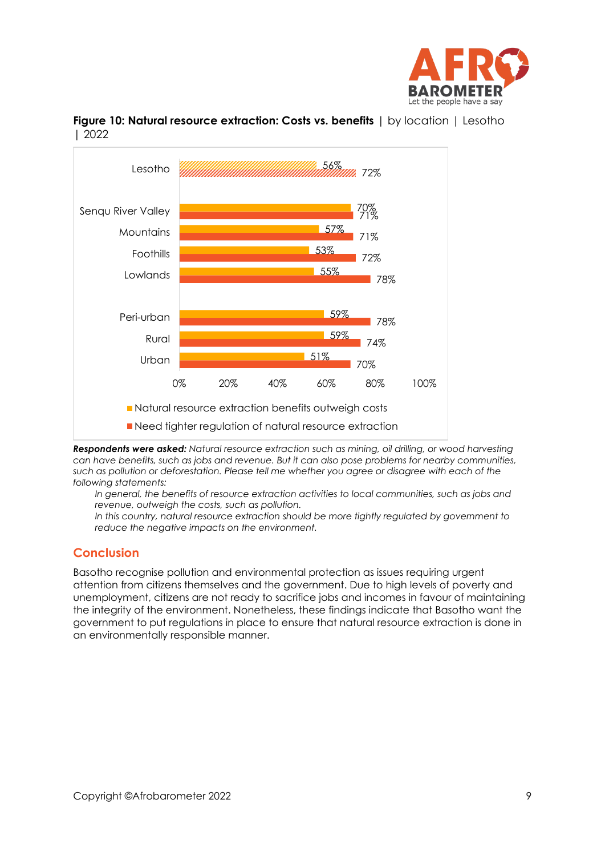



**Figure 10: Natural resource extraction: Costs vs. benefits** | by location | Lesotho | 2022

*Respondents were asked: Natural resource extraction such as mining, oil drilling, or wood harvesting can have benefits, such as jobs and revenue. But it can also pose problems for nearby communities, such as pollution or deforestation. Please tell me whether you agree or disagree with each of the following statements:*

In general, the benefits of resource extraction activities to local communities, such as jobs and *revenue, outweigh the costs, such as pollution.*

*In this country, natural resource extraction should be more tightly regulated by government to reduce the negative impacts on the environment.*

# **Conclusion**

Basotho recognise pollution and environmental protection as issues requiring urgent attention from citizens themselves and the government. Due to high levels of poverty and unemployment, citizens are not ready to sacrifice jobs and incomes in favour of maintaining the integrity of the environment. Nonetheless, these findings indicate that Basotho want the government to put regulations in place to ensure that natural resource extraction is done in an environmentally responsible manner.